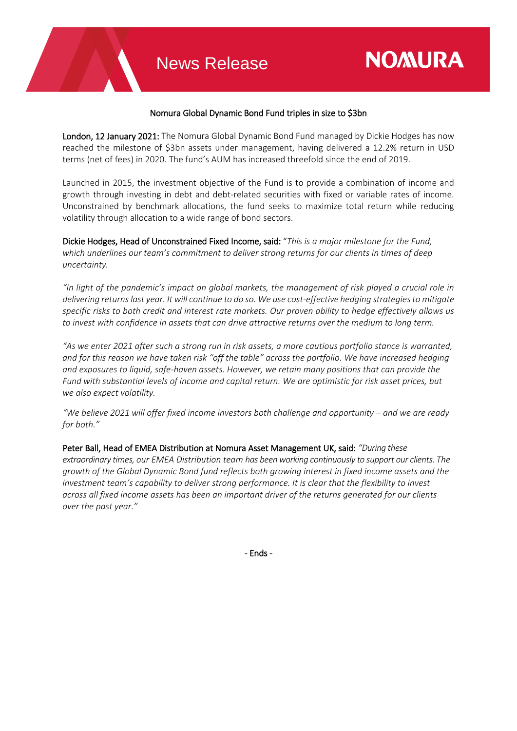## Nomura Global Dynamic Bond Fund triples in size to \$3bn

**NOMURA** 

London, 12 January 2021: The Nomura Global Dynamic Bond Fund managed by Dickie Hodges has now reached the milestone of \$3bn assets under management, having delivered a 12.2% return in USD terms (net of fees) in 2020. The fund's AUM has increased threefold since the end of 2019.

Launched in 2015, the investment objective of the Fund is to provide a combination of income and growth through investing in debt and debt-related securities with fixed or variable rates of income. Unconstrained by benchmark allocations, the fund seeks to maximize total return while reducing volatility through allocation to a wide range of bond sectors.

Dickie Hodges, Head of Unconstrained Fixed Income, said: "*This is a major milestone for the Fund, which underlines our team's commitment to deliver strong returns for our clients in times of deep uncertainty.*

*"In light of the pandemic's impact on global markets, the management of risk played a crucial role in delivering returns last year. It will continue to do so. We use cost-effective hedging strategies to mitigate specific risks to both credit and interest rate markets. Our proven ability to hedge effectively allows us to invest with confidence in assets that can drive attractive returns over the medium to long term.* 

*"As we enter 2021 after such a strong run in risk assets, a more cautious portfolio stance is warranted, and for this reason we have taken risk "off the table" across the portfolio. We have increased hedging and exposures to liquid, safe-haven assets. However, we retain many positions that can provide the Fund with substantial levels of income and capital return. We are optimistic for risk asset prices, but we also expect volatility.*

*"We believe 2021 will offer fixed income investors both challenge and opportunity – and we are ready for both."*

Peter Ball, Head of EMEA Distribution at Nomura Asset Management UK, said: *"During these extraordinary times, our EMEA Distribution team has been working continuously to support our clients. The growth of the Global Dynamic Bond fund reflects both growing interest in fixed income assets and the investment team's capability to deliver strong performance. It is clear that the flexibility to invest across all fixed income assets has been an important driver of the returns generated for our clients over the past year."*

- Ends -